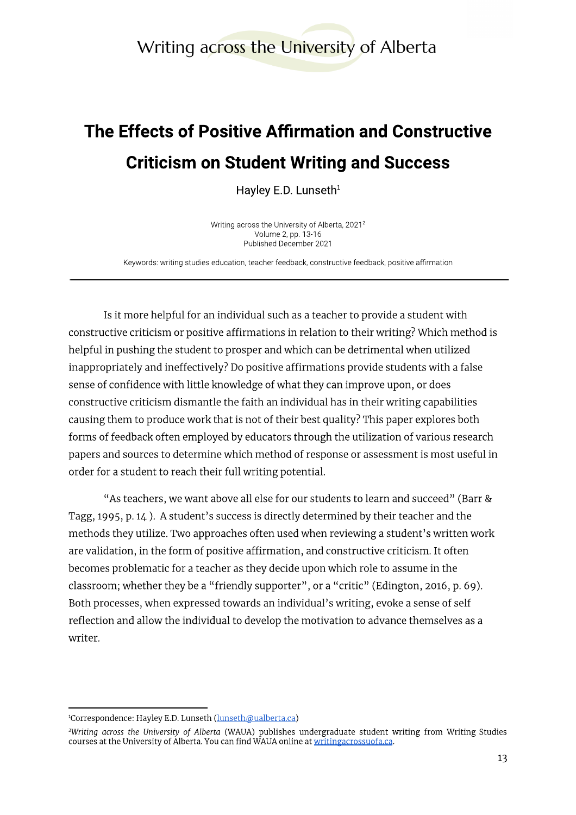Writing across the University of Alberta

# The Effects of Positive Affirmation and Constructive Example 2021<br> **Example 2021 Fig. 2021 Fig. 2021 Fig. 2021 Fig. 2021 Fig. 2021 Fig. 2021 Fig. 2021 Fig. 2021 Fullished December 2021<br>
Exp. 13-16<br>
Published December 2021<br>
Exported Structive feedback, constructive feedback,**

Writing across the University of Alberta,  $2021<sup>2</sup>$ Volume 2, pp. 13-16 Published December 2021

Keywords: writing studies education, teacher feedback, constructive feedback, positive affirmation

Is it more helpful for an individual such as a teacher to provide a student with constructive criticism or positive affirmations in relation to their writing? Which method is helpful in pushing the student to prosper and which can be detrimental when utilized inappropriately and ineffectively? Do positive affirmations provide students with a false sense of confidence with little knowledge of what they can improve upon, or does constructive criticism dismantle the faith an individual has in their writing capabilities causing them to produce work that is not of their best quality? This paper explores both forms of feedback often employed by educators through the utilization of various research papers and sources to determine which method of response or assessment is most useful in order for a student to reach their full writing potential.

"As teachers, we want above all else for our students to learn and succeed" (Barr & Tagg, 1995, p. 14). A student's success is directly determined by their teacher and the methods they utilize. Two approaches often used when reviewing a student's written work are validation, in the form of positive affirmation, and constructive criticism. It often becomes problematic for a teacher as they decide upon which role to assume in the classroom; whether they be a "friendly supporter", or a "critic" (Edington, 2016, p. 69). Both processes, when expressed towards an individual's writing, evoke a sense of self reflection and allow the individual to develop the motivation to advance themselves as a writer.

Writing across the University of Alberta (WAUA) publishes undergraduate student writing from Writing Studies" <sup>1</sup>Correspondence: Hayley E.D. Lunseth (<u>lunseth@ualberta.ca)</u><br><sup>2</sup>Writing across the University of Alberta (WAUA) publishes undergraduate student wr<br>courses at the University of Alberta. You can find WAUA online at <u>writin</u>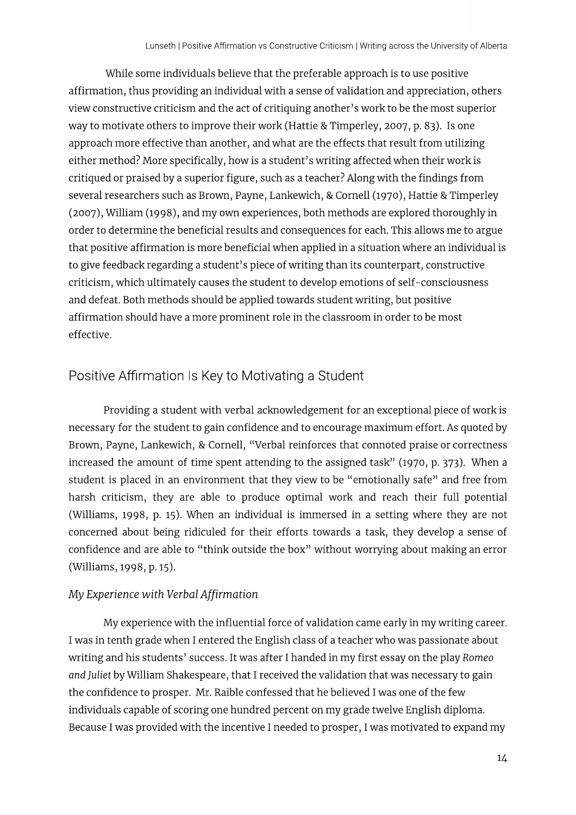While some individuals believe that the preferable approach is to use positive affirmation, thus providing an individual with a sense of validation and appreciation, others view constructive criticism and the act of critiquing another's work to be the most superior way to motivate others to improve their work (Hattie & Timperley, 2007, p. 83). Is one approach more effective than another, and what are the effects that result from utilizing either method? More specifically, how is a student's writing affected when their work is critiqued or praised by a superior figure, such as a teacher? Along with the findings from several researchers such as Brown, Payne, Lankewich, & Cornell (1970), Hattie & Timperley (2007), William (1998), and my own experiences, both methods are explored thoroughly in order to determine the beneficial results and consequences for each. This allows me to argue that positive affirmation is more beneficial when applied in a situation where an individual is to give feedback regarding a student's piece of writing than its counterpart, constructive criticism, which ultimately causes the student to develop emotions of self-consciousness and defeat. Both methods should be applied towards student writing, but positive affirmation should have a more prominent role in the classroom in order to be most effective.

## Positive Affirmation Is Key to Motivating a Student

Providing a student with verbal acknowledgement for an exceptional piece of work is necessary for the student to gain confidence and to encourage maximum effort. As quoted by Brown, Payne, Lankewich, & Cornell, "Verbal reinforces that connoted praise or correctness increased the amount of time spent attending to the assigned task" (1970, p. 373). When a student is placed in an environment that they view to be "emotionally safe" and free from harsh criticism, they are able to produce optimal work and reach their full potential (Williams, 1998, p. 15). When an individual is immersed in a setting where they are not concerned about being ridiculed for their efforts towards a task, they develop a sense of confidence and are able to "think outside the box" without worrying about making an error (Williams, 1998, p. 15).

### My Experience with Verbal Affirmation

My experience with the influential force of validation came early in my writing career. I was in tenth grade when I entered the English class of a teacher who was passionate about writing and his students' success. It was after I handed in my first essay on the play Romeo and Juliet by William Shakespeare, that I received the validation that was necessary to gain the confidence to prosper. Mr. Raible confessed that he believed I was one of the few individuals capable of scoring one hundred percent on my grade twelve English diploma. Because I was provided with the incentive I needed to prosper, I was motivated to expand my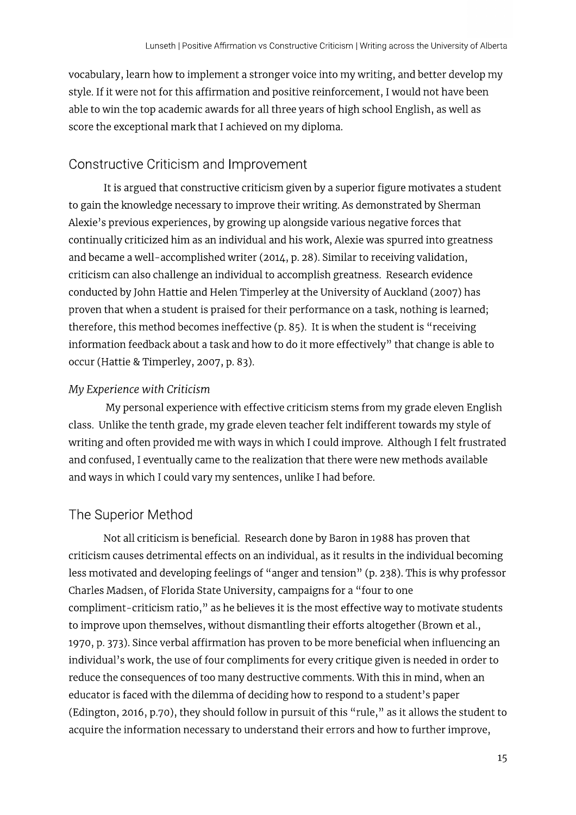vocabulary, learn how to implement a stronger voice into my writing, and better develop my style. If it were not for this affirmation and positive reinforcement, I would not have been able to win the top academic awards for all three years of high school English, as well as score the exceptional mark that I achieved on my diploma.

# Constructive Criticism and Improvement

It is argued that constructive criticism given by a superior figure motivates a student to gain the knowledge necessary to improve their writing. As demonstrated by Sherman Alexie's previous experiences, by growing up alongside various negative forces that continually criticized him as an individual and his work, Alexie was spurred into greatness and became a well-accomplished writer (2014, p. 28). Similar to receiving validation, criticism can also challenge an individual to accomplish greatness. Research evidence conducted by John Hattie and Helen Timperley at the University of Auckland (2007) has proven that when a student is praised for their performance on a task, nothing is learned; therefore, this method becomes ineffective (p. 85). It is when the student is "receiving information feedback about a task and how to do it more effectively" that change is able to occur (Hattie & Timperley, 2007, p. 83).

## My Experience with Criticism

My personal experience with effective criticism stems from my grade eleven English class. Unlike the tenth grade, my grade eleven teacher felt indifferent towards my style of writing and often provided me with ways in which I could improve. Although I felt frustrated and confused, I eventually came to the realization that there were new methods available and ways in which I could vary my sentences, unlike I had before.

# The Superior Method

Not all criticism is beneficial. Research done by Baron in 1988 has proven that criticism causes detrimental effects on an individual, as it results in the individual becoming less motivated and developing feelings of "anger and tension" (p. 238). This is why professor Charles Madsen, of Florida State University, campaigns for a "four to one compliment-criticism ratio," as he believes it is the most effective way to motivate students to improve upon themselves, without dismantling their efforts altogether (Brown et al., 1970, p. 373). Since verbal affirmation has proven to be more beneficial when influencing an individual's work, the use of four compliments for every critique given is needed in order to reduce the consequences of too many destructive comments. With this in mind, when an educator is faced with the dilemma of deciding how to respond to a student's paper (Edington, 2016, p.70), they should follow in pursuit of this "rule," as it allows the student to acquire the information necessary to understand their errors and how to further improve,